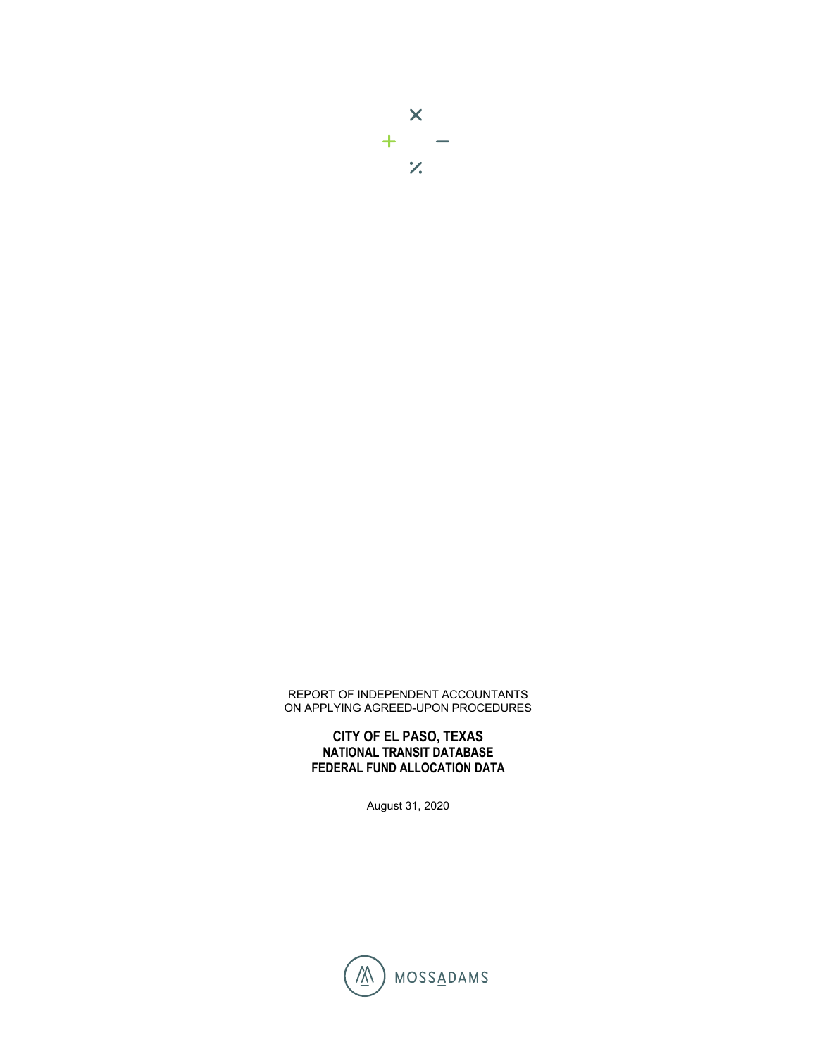## REPORT OF INDEPENDENT ACCOUNTANTS ON APPLYING AGREED-UPON PROCEDURES

## **CITY OF EL PASO, TEXAS NATIONAL TRANSIT DATABASE FEDERAL FUND ALLOCATION DATA**

August 31, 2020

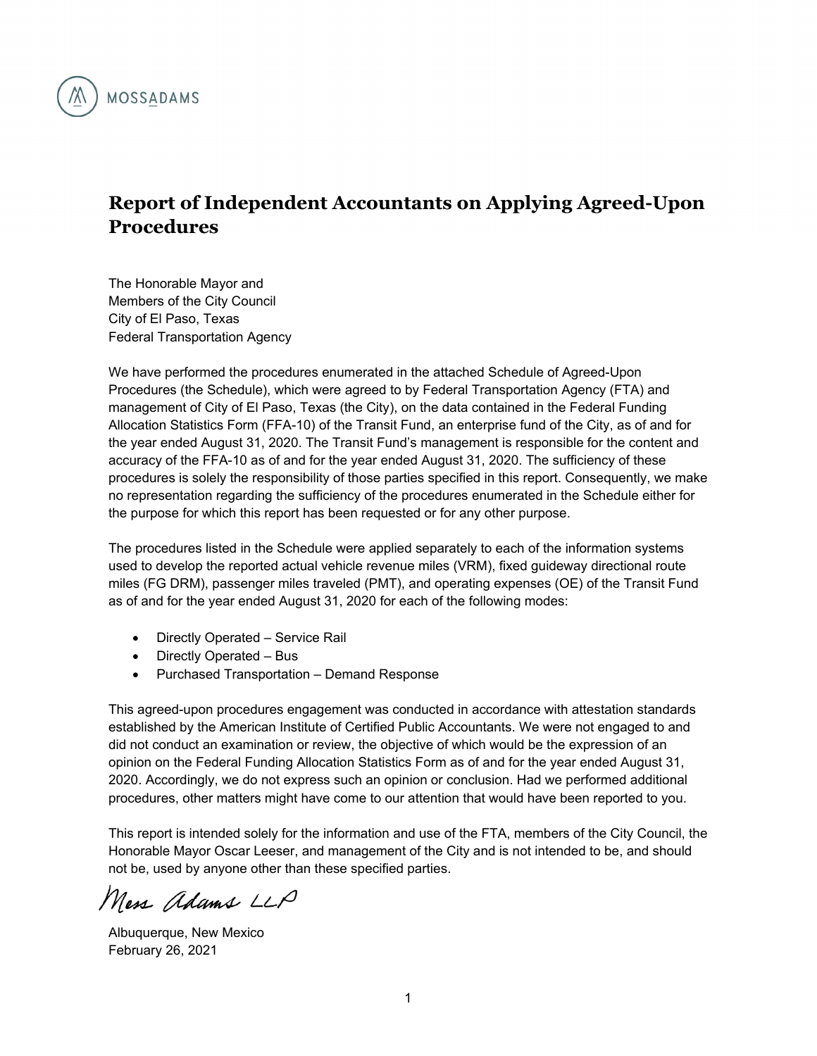

## **Report of Independent Accountants on Applying Agreed-Upon Procedures**

The Honorable Mayor and Members of the City Council City of El Paso, Texas Federal Transportation Agency

We have performed the procedures enumerated in the attached Schedule of Agreed-Upon Procedures (the Schedule), which were agreed to by Federal Transportation Agency (FTA) and management of City of El Paso, Texas (the City), on the data contained in the Federal Funding Allocation Statistics Form (FFA-10) of the Transit Fund, an enterprise fund of the City, as of and for the year ended August 31, 2020. The Transit Fund's management is responsible for the content and accuracy of the FFA-10 as of and for the year ended August 31, 2020. The sufficiency of these procedures is solely the responsibility of those parties specified in this report. Consequently, we make no representation regarding the sufficiency of the procedures enumerated in the Schedule either for the purpose for which this report has been requested or for any other purpose.

The procedures listed in the Schedule were applied separately to each of the information systems used to develop the reported actual vehicle revenue miles (VRM), fixed guideway directional route miles (FG DRM), passenger miles traveled (PMT), and operating expenses (OE) of the Transit Fund as of and for the year ended August 31, 2020 for each of the following modes:

- Directly Operated Service Rail
- Directly Operated Bus
- Purchased Transportation Demand Response

This agreed-upon procedures engagement was conducted in accordance with attestation standards established by the American Institute of Certified Public Accountants. We were not engaged to and did not conduct an examination or review, the objective of which would be the expression of an opinion on the Federal Funding Allocation Statistics Form as of and for the year ended August 31, 2020. Accordingly, we do not express such an opinion or conclusion. Had we performed additional procedures, other matters might have come to our attention that would have been reported to you.

This report is intended solely for the information and use of the FTA, members of the City Council, the Honorable Mayor Oscar Leeser, and management of the City and is not intended to be, and should not be, used by anyone other than these specified parties.

Mess Adams LLP

Albuquerque, New Mexico February 26, 2021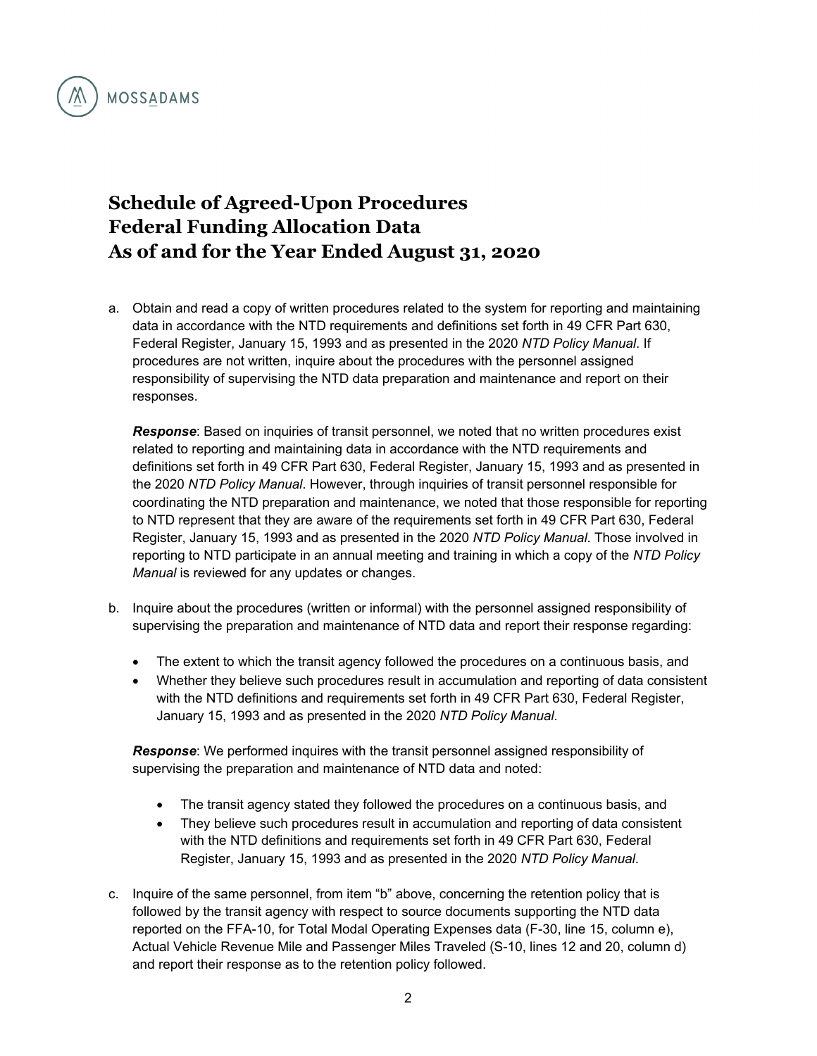

## **Schedule of Agreed-Upon Procedures Federal Funding Allocation Data As of and for the Year Ended August 31, 2020**

a. Obtain and read a copy of written procedures related to the system for reporting and maintaining data in accordance with the NTD requirements and definitions set forth in 49 CFR Part 630, Federal Register, January 15, 1993 and as presented in the 2020 *NTD Policy Manual*. If procedures are not written, inquire about the procedures with the personnel assigned responsibility of supervising the NTD data preparation and maintenance and report on their responses.

*Response*: Based on inquiries of transit personnel, we noted that no written procedures exist related to reporting and maintaining data in accordance with the NTD requirements and definitions set forth in 49 CFR Part 630, Federal Register, January 15, 1993 and as presented in the 2020 *NTD Policy Manual*. However, through inquiries of transit personnel responsible for coordinating the NTD preparation and maintenance, we noted that those responsible for reporting to NTD represent that they are aware of the requirements set forth in 49 CFR Part 630, Federal Register, January 15, 1993 and as presented in the 2020 *NTD Policy Manual*. Those involved in reporting to NTD participate in an annual meeting and training in which a copy of the *NTD Policy Manual* is reviewed for any updates or changes.

- b. Inquire about the procedures (written or informal) with the personnel assigned responsibility of supervising the preparation and maintenance of NTD data and report their response regarding:
	- The extent to which the transit agency followed the procedures on a continuous basis, and
	- Whether they believe such procedures result in accumulation and reporting of data consistent with the NTD definitions and requirements set forth in 49 CFR Part 630, Federal Register, January 15, 1993 and as presented in the 2020 *NTD Policy Manual*.

*Response*: We performed inquires with the transit personnel assigned responsibility of supervising the preparation and maintenance of NTD data and noted:

- The transit agency stated they followed the procedures on a continuous basis, and
- They believe such procedures result in accumulation and reporting of data consistent with the NTD definitions and requirements set forth in 49 CFR Part 630, Federal Register, January 15, 1993 and as presented in the 2020 *NTD Policy Manual*.
- c. Inquire of the same personnel, from item "b" above, concerning the retention policy that is followed by the transit agency with respect to source documents supporting the NTD data reported on the FFA-10, for Total Modal Operating Expenses data (F-30, line 15, column e), Actual Vehicle Revenue Mile and Passenger Miles Traveled (S-10, lines 12 and 20, column d) and report their response as to the retention policy followed.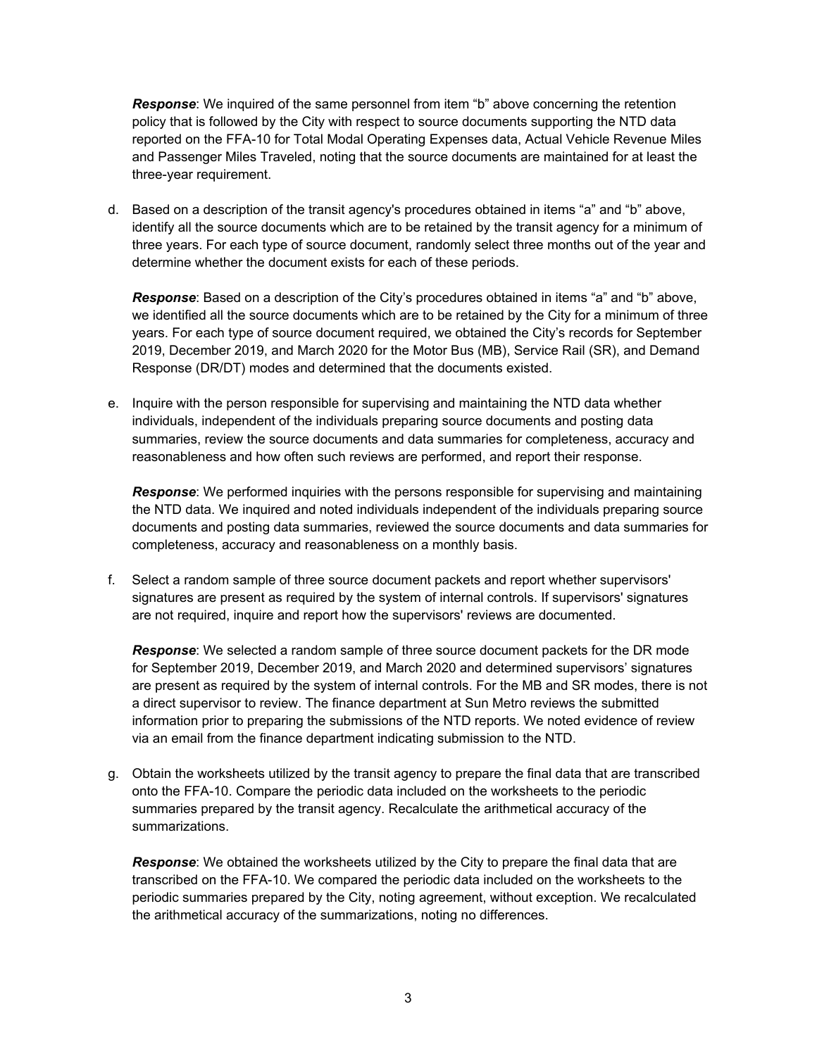*Response*: We inquired of the same personnel from item "b" above concerning the retention policy that is followed by the City with respect to source documents supporting the NTD data reported on the FFA-10 for Total Modal Operating Expenses data, Actual Vehicle Revenue Miles and Passenger Miles Traveled, noting that the source documents are maintained for at least the three-year requirement.

d. Based on a description of the transit agency's procedures obtained in items "a" and "b" above, identify all the source documents which are to be retained by the transit agency for a minimum of three years. For each type of source document, randomly select three months out of the year and determine whether the document exists for each of these periods.

*Response*: Based on a description of the City's procedures obtained in items "a" and "b" above, we identified all the source documents which are to be retained by the City for a minimum of three years. For each type of source document required, we obtained the City's records for September 2019, December 2019, and March 2020 for the Motor Bus (MB), Service Rail (SR), and Demand Response (DR/DT) modes and determined that the documents existed.

e. Inquire with the person responsible for supervising and maintaining the NTD data whether individuals, independent of the individuals preparing source documents and posting data summaries, review the source documents and data summaries for completeness, accuracy and reasonableness and how often such reviews are performed, and report their response.

*Response*: We performed inquiries with the persons responsible for supervising and maintaining the NTD data. We inquired and noted individuals independent of the individuals preparing source documents and posting data summaries, reviewed the source documents and data summaries for completeness, accuracy and reasonableness on a monthly basis.

f. Select a random sample of three source document packets and report whether supervisors' signatures are present as required by the system of internal controls. If supervisors' signatures are not required, inquire and report how the supervisors' reviews are documented.

*Response*: We selected a random sample of three source document packets for the DR mode for September 2019, December 2019, and March 2020 and determined supervisors' signatures are present as required by the system of internal controls. For the MB and SR modes, there is not a direct supervisor to review. The finance department at Sun Metro reviews the submitted information prior to preparing the submissions of the NTD reports. We noted evidence of review via an email from the finance department indicating submission to the NTD.

g. Obtain the worksheets utilized by the transit agency to prepare the final data that are transcribed onto the FFA-10. Compare the periodic data included on the worksheets to the periodic summaries prepared by the transit agency. Recalculate the arithmetical accuracy of the summarizations.

*Response*: We obtained the worksheets utilized by the City to prepare the final data that are transcribed on the FFA-10. We compared the periodic data included on the worksheets to the periodic summaries prepared by the City, noting agreement, without exception. We recalculated the arithmetical accuracy of the summarizations, noting no differences.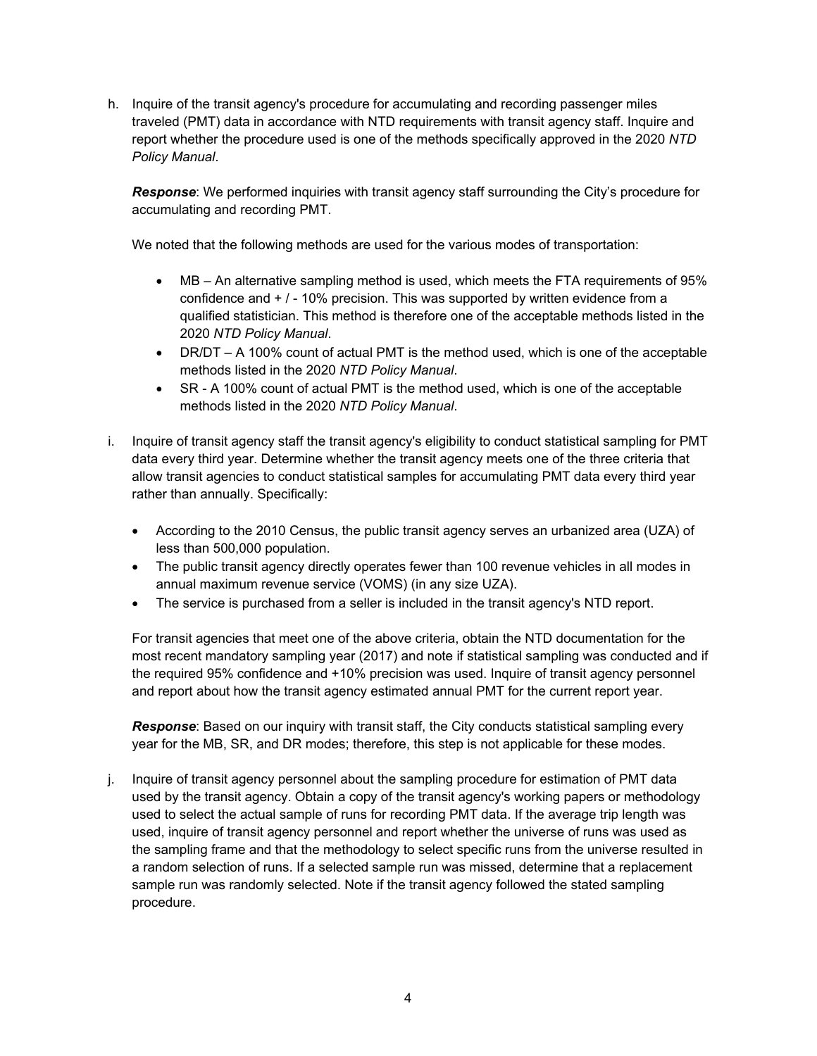h. Inquire of the transit agency's procedure for accumulating and recording passenger miles traveled (PMT) data in accordance with NTD requirements with transit agency staff. Inquire and report whether the procedure used is one of the methods specifically approved in the 2020 *NTD Policy Manual*.

*Response*: We performed inquiries with transit agency staff surrounding the City's procedure for accumulating and recording PMT.

We noted that the following methods are used for the various modes of transportation:

- MB An alternative sampling method is used, which meets the FTA requirements of 95% confidence and + / - 10% precision. This was supported by written evidence from a qualified statistician. This method is therefore one of the acceptable methods listed in the 2020 *NTD Policy Manual*.
- DR/DT A 100% count of actual PMT is the method used, which is one of the acceptable methods listed in the 2020 *NTD Policy Manual*.
- SR A 100% count of actual PMT is the method used, which is one of the acceptable methods listed in the 2020 *NTD Policy Manual*.
- i. Inquire of transit agency staff the transit agency's eligibility to conduct statistical sampling for PMT data every third year. Determine whether the transit agency meets one of the three criteria that allow transit agencies to conduct statistical samples for accumulating PMT data every third year rather than annually. Specifically:
	- According to the 2010 Census, the public transit agency serves an urbanized area (UZA) of less than 500,000 population.
	- The public transit agency directly operates fewer than 100 revenue vehicles in all modes in annual maximum revenue service (VOMS) (in any size UZA).
	- The service is purchased from a seller is included in the transit agency's NTD report.

For transit agencies that meet one of the above criteria, obtain the NTD documentation for the most recent mandatory sampling year (2017) and note if statistical sampling was conducted and if the required 95% confidence and +10% precision was used. Inquire of transit agency personnel and report about how the transit agency estimated annual PMT for the current report year.

*Response*: Based on our inquiry with transit staff, the City conducts statistical sampling every year for the MB, SR, and DR modes; therefore, this step is not applicable for these modes.

j. Inquire of transit agency personnel about the sampling procedure for estimation of PMT data used by the transit agency. Obtain a copy of the transit agency's working papers or methodology used to select the actual sample of runs for recording PMT data. If the average trip length was used, inquire of transit agency personnel and report whether the universe of runs was used as the sampling frame and that the methodology to select specific runs from the universe resulted in a random selection of runs. If a selected sample run was missed, determine that a replacement sample run was randomly selected. Note if the transit agency followed the stated sampling procedure.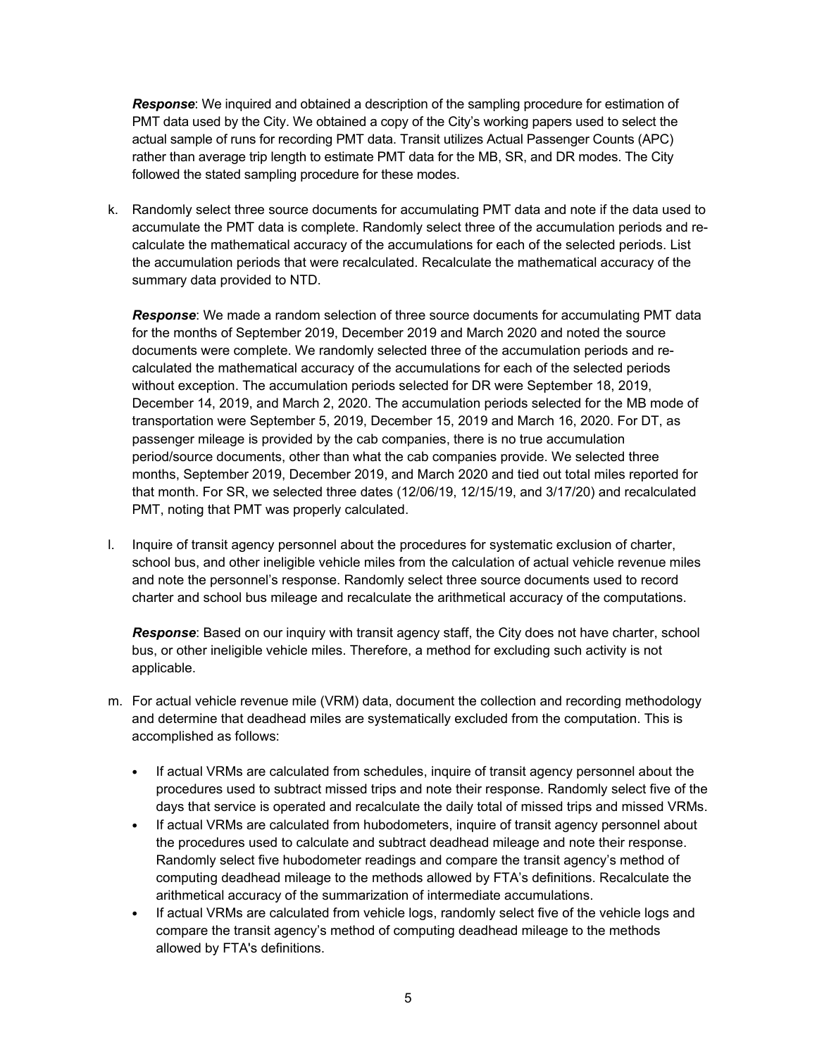*Response*: We inquired and obtained a description of the sampling procedure for estimation of PMT data used by the City. We obtained a copy of the City's working papers used to select the actual sample of runs for recording PMT data. Transit utilizes Actual Passenger Counts (APC) rather than average trip length to estimate PMT data for the MB, SR, and DR modes. The City followed the stated sampling procedure for these modes.

k. Randomly select three source documents for accumulating PMT data and note if the data used to accumulate the PMT data is complete. Randomly select three of the accumulation periods and recalculate the mathematical accuracy of the accumulations for each of the selected periods. List the accumulation periods that were recalculated. Recalculate the mathematical accuracy of the summary data provided to NTD.

*Response*: We made a random selection of three source documents for accumulating PMT data for the months of September 2019, December 2019 and March 2020 and noted the source documents were complete. We randomly selected three of the accumulation periods and recalculated the mathematical accuracy of the accumulations for each of the selected periods without exception. The accumulation periods selected for DR were September 18, 2019, December 14, 2019, and March 2, 2020. The accumulation periods selected for the MB mode of transportation were September 5, 2019, December 15, 2019 and March 16, 2020. For DT, as passenger mileage is provided by the cab companies, there is no true accumulation period/source documents, other than what the cab companies provide. We selected three months, September 2019, December 2019, and March 2020 and tied out total miles reported for that month. For SR, we selected three dates (12/06/19, 12/15/19, and 3/17/20) and recalculated PMT, noting that PMT was properly calculated.

l. Inquire of transit agency personnel about the procedures for systematic exclusion of charter, school bus, and other ineligible vehicle miles from the calculation of actual vehicle revenue miles and note the personnel's response. Randomly select three source documents used to record charter and school bus mileage and recalculate the arithmetical accuracy of the computations.

*Response*: Based on our inquiry with transit agency staff, the City does not have charter, school bus, or other ineligible vehicle miles. Therefore, a method for excluding such activity is not applicable.

- m. For actual vehicle revenue mile (VRM) data, document the collection and recording methodology and determine that deadhead miles are systematically excluded from the computation. This is accomplished as follows:
	- If actual VRMs are calculated from schedules, inquire of transit agency personnel about the procedures used to subtract missed trips and note their response. Randomly select five of the days that service is operated and recalculate the daily total of missed trips and missed VRMs.
	- If actual VRMs are calculated from hubodometers, inquire of transit agency personnel about the procedures used to calculate and subtract deadhead mileage and note their response. Randomly select five hubodometer readings and compare the transit agency's method of computing deadhead mileage to the methods allowed by FTA's definitions. Recalculate the arithmetical accuracy of the summarization of intermediate accumulations.
	- If actual VRMs are calculated from vehicle logs, randomly select five of the vehicle logs and compare the transit agency's method of computing deadhead mileage to the methods allowed by FTA's definitions.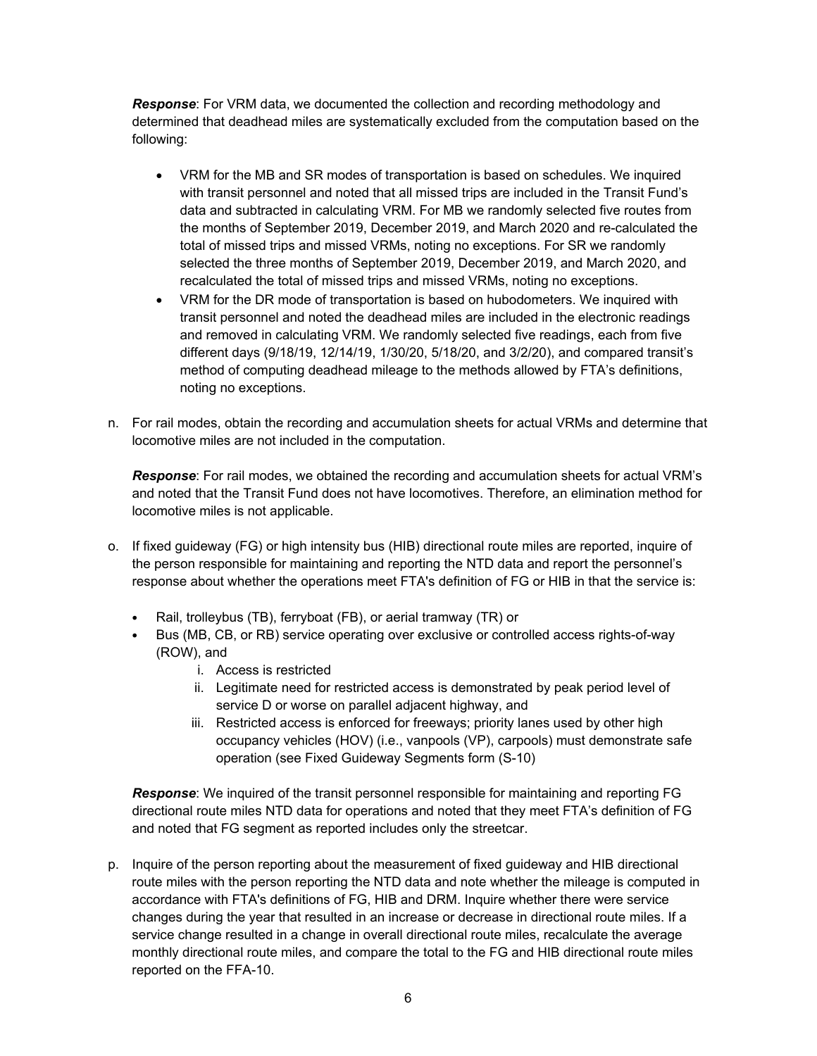*Response*: For VRM data, we documented the collection and recording methodology and determined that deadhead miles are systematically excluded from the computation based on the following:

- VRM for the MB and SR modes of transportation is based on schedules. We inquired with transit personnel and noted that all missed trips are included in the Transit Fund's data and subtracted in calculating VRM. For MB we randomly selected five routes from the months of September 2019, December 2019, and March 2020 and re-calculated the total of missed trips and missed VRMs, noting no exceptions. For SR we randomly selected the three months of September 2019, December 2019, and March 2020, and recalculated the total of missed trips and missed VRMs, noting no exceptions.
- VRM for the DR mode of transportation is based on hubodometers. We inquired with transit personnel and noted the deadhead miles are included in the electronic readings and removed in calculating VRM. We randomly selected five readings, each from five different days (9/18/19, 12/14/19, 1/30/20, 5/18/20, and 3/2/20), and compared transit's method of computing deadhead mileage to the methods allowed by FTA's definitions, noting no exceptions.
- n. For rail modes, obtain the recording and accumulation sheets for actual VRMs and determine that locomotive miles are not included in the computation.

*Response*: For rail modes, we obtained the recording and accumulation sheets for actual VRM's and noted that the Transit Fund does not have locomotives. Therefore, an elimination method for locomotive miles is not applicable.

- o. If fixed guideway (FG) or high intensity bus (HIB) directional route miles are reported, inquire of the person responsible for maintaining and reporting the NTD data and report the personnel's response about whether the operations meet FTA's definition of FG or HIB in that the service is:
	- Rail, trolleybus (TB), ferryboat (FB), or aerial tramway (TR) or
	- Bus (MB, CB, or RB) service operating over exclusive or controlled access rights-of-way (ROW), and
		- i. Access is restricted
		- ii. Legitimate need for restricted access is demonstrated by peak period level of service D or worse on parallel adjacent highway, and
		- iii. Restricted access is enforced for freeways; priority lanes used by other high occupancy vehicles (HOV) (i.e., vanpools (VP), carpools) must demonstrate safe operation (see Fixed Guideway Segments form (S-10)

*Response*: We inquired of the transit personnel responsible for maintaining and reporting FG directional route miles NTD data for operations and noted that they meet FTA's definition of FG and noted that FG segment as reported includes only the streetcar.

p. Inquire of the person reporting about the measurement of fixed guideway and HIB directional route miles with the person reporting the NTD data and note whether the mileage is computed in accordance with FTA's definitions of FG, HIB and DRM. Inquire whether there were service changes during the year that resulted in an increase or decrease in directional route miles. If a service change resulted in a change in overall directional route miles, recalculate the average monthly directional route miles, and compare the total to the FG and HIB directional route miles reported on the FFA-10.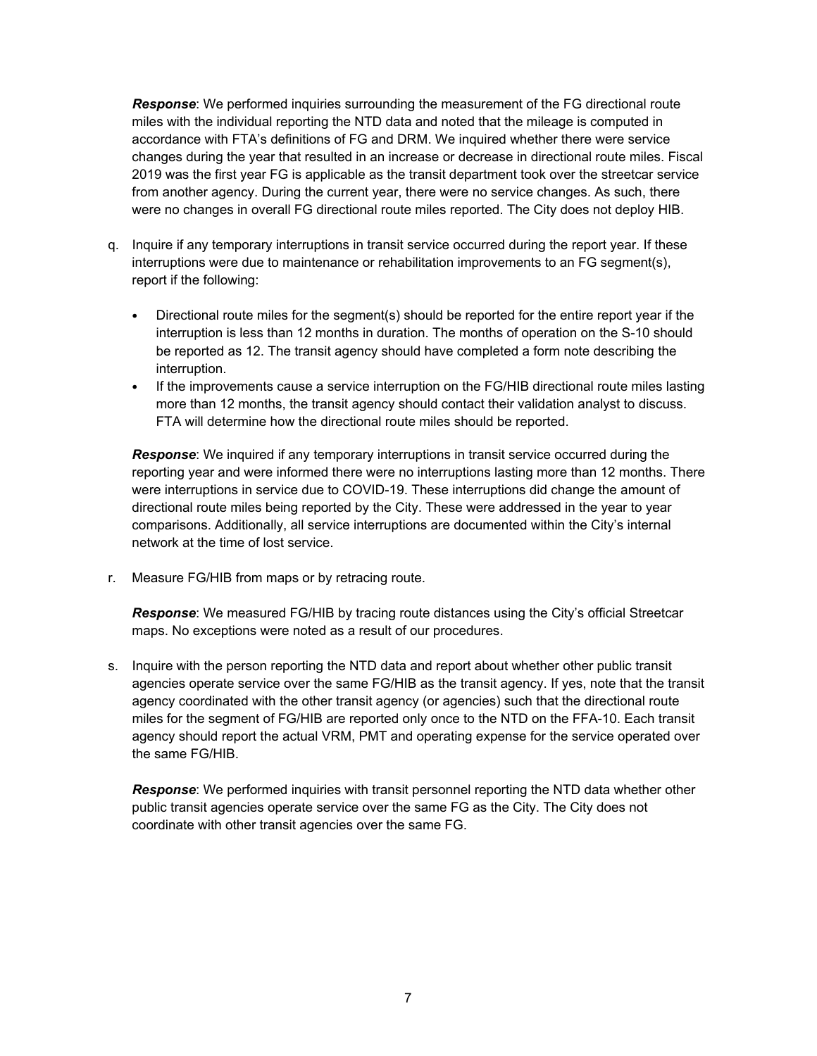*Response*: We performed inquiries surrounding the measurement of the FG directional route miles with the individual reporting the NTD data and noted that the mileage is computed in accordance with FTA's definitions of FG and DRM. We inquired whether there were service changes during the year that resulted in an increase or decrease in directional route miles. Fiscal 2019 was the first year FG is applicable as the transit department took over the streetcar service from another agency. During the current year, there were no service changes. As such, there were no changes in overall FG directional route miles reported. The City does not deploy HIB.

- q. Inquire if any temporary interruptions in transit service occurred during the report year. If these interruptions were due to maintenance or rehabilitation improvements to an FG segment(s), report if the following:
	- Directional route miles for the segment(s) should be reported for the entire report year if the interruption is less than 12 months in duration. The months of operation on the S-10 should be reported as 12. The transit agency should have completed a form note describing the interruption.
	- If the improvements cause a service interruption on the FG/HIB directional route miles lasting more than 12 months, the transit agency should contact their validation analyst to discuss. FTA will determine how the directional route miles should be reported.

*Response*: We inquired if any temporary interruptions in transit service occurred during the reporting year and were informed there were no interruptions lasting more than 12 months. There were interruptions in service due to COVID-19. These interruptions did change the amount of directional route miles being reported by the City. These were addressed in the year to year comparisons. Additionally, all service interruptions are documented within the City's internal network at the time of lost service.

r. Measure FG/HIB from maps or by retracing route.

*Response*: We measured FG/HIB by tracing route distances using the City's official Streetcar maps. No exceptions were noted as a result of our procedures.

s. Inquire with the person reporting the NTD data and report about whether other public transit agencies operate service over the same FG/HIB as the transit agency. If yes, note that the transit agency coordinated with the other transit agency (or agencies) such that the directional route miles for the segment of FG/HIB are reported only once to the NTD on the FFA-10. Each transit agency should report the actual VRM, PMT and operating expense for the service operated over the same FG/HIB.

*Response*: We performed inquiries with transit personnel reporting the NTD data whether other public transit agencies operate service over the same FG as the City. The City does not coordinate with other transit agencies over the same FG.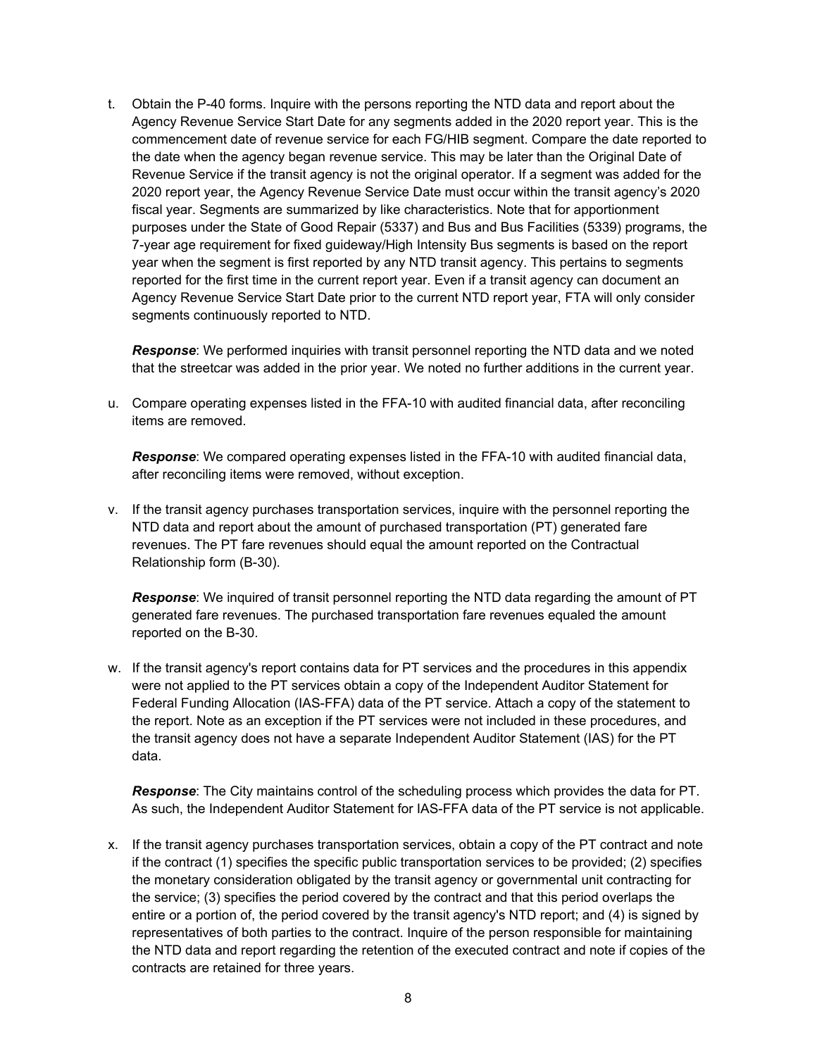t. Obtain the P-40 forms. Inquire with the persons reporting the NTD data and report about the Agency Revenue Service Start Date for any segments added in the 2020 report year. This is the commencement date of revenue service for each FG/HIB segment. Compare the date reported to the date when the agency began revenue service. This may be later than the Original Date of Revenue Service if the transit agency is not the original operator. If a segment was added for the 2020 report year, the Agency Revenue Service Date must occur within the transit agency's 2020 fiscal year. Segments are summarized by like characteristics. Note that for apportionment purposes under the State of Good Repair (5337) and Bus and Bus Facilities (5339) programs, the 7-year age requirement for fixed guideway/High Intensity Bus segments is based on the report year when the segment is first reported by any NTD transit agency. This pertains to segments reported for the first time in the current report year. Even if a transit agency can document an Agency Revenue Service Start Date prior to the current NTD report year, FTA will only consider segments continuously reported to NTD.

*Response*: We performed inquiries with transit personnel reporting the NTD data and we noted that the streetcar was added in the prior year. We noted no further additions in the current year.

u. Compare operating expenses listed in the FFA-10 with audited financial data, after reconciling items are removed.

*Response*: We compared operating expenses listed in the FFA-10 with audited financial data, after reconciling items were removed, without exception.

v. If the transit agency purchases transportation services, inquire with the personnel reporting the NTD data and report about the amount of purchased transportation (PT) generated fare revenues. The PT fare revenues should equal the amount reported on the Contractual Relationship form (B-30).

*Response*: We inquired of transit personnel reporting the NTD data regarding the amount of PT generated fare revenues. The purchased transportation fare revenues equaled the amount reported on the B-30.

w. If the transit agency's report contains data for PT services and the procedures in this appendix were not applied to the PT services obtain a copy of the Independent Auditor Statement for Federal Funding Allocation (IAS-FFA) data of the PT service. Attach a copy of the statement to the report. Note as an exception if the PT services were not included in these procedures, and the transit agency does not have a separate Independent Auditor Statement (IAS) for the PT data.

*Response*: The City maintains control of the scheduling process which provides the data for PT. As such, the Independent Auditor Statement for IAS-FFA data of the PT service is not applicable.

x. If the transit agency purchases transportation services, obtain a copy of the PT contract and note if the contract (1) specifies the specific public transportation services to be provided; (2) specifies the monetary consideration obligated by the transit agency or governmental unit contracting for the service; (3) specifies the period covered by the contract and that this period overlaps the entire or a portion of, the period covered by the transit agency's NTD report; and (4) is signed by representatives of both parties to the contract. Inquire of the person responsible for maintaining the NTD data and report regarding the retention of the executed contract and note if copies of the contracts are retained for three years.